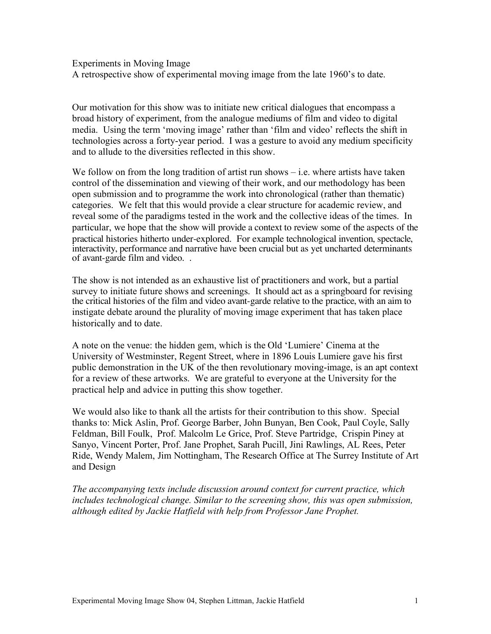Experiments in Moving Image A retrospective show of experimental moving image from the late 1960's to date.

Our motivation for this show was to initiate new critical dialogues that encompass a broad history of experiment, from the analogue mediums of film and video to digital media. Using the term 'moving image' rather than 'film and video' reflects the shift in technologies across a forty-year period. I was a gesture to avoid any medium specificity and to allude to the diversities reflected in this show.

We follow on from the long tradition of artist run shows  $-$  i.e. where artists have taken control of the dissemination and viewing of their work, and our methodology has been open submission and to programme the work into chronological (rather than thematic) categories. We felt that this would provide a clear structure for academic review, and reveal some of the paradigms tested in the work and the collective ideas of the times. In particular, we hope that the show will provide a context to review some of the aspects of the practical histories hitherto under-explored. For example technological invention, spectacle, interactivity, performance and narrative have been crucial but as yet uncharted determinants of avant-garde film and video. .

The show is not intended as an exhaustive list of practitioners and work, but a partial survey to initiate future shows and screenings. It should act as a springboard for revising the critical histories of the film and video avant-garde relative to the practice, with an aim to instigate debate around the plurality of moving image experiment that has taken place historically and to date.

A note on the venue: the hidden gem, which is the Old 'Lumiere' Cinema at the University of Westminster, Regent Street, where in 1896 Louis Lumiere gave his first public demonstration in the UK of the then revolutionary moving-image, is an apt context for a review of these artworks. We are grateful to everyone at the University for the practical help and advice in putting this show together.

We would also like to thank all the artists for their contribution to this show. Special thanks to: Mick Aslin, Prof. George Barber, John Bunyan, Ben Cook, Paul Coyle, Sally Feldman, Bill Foulk, Prof. Malcolm Le Grice, Prof. Steve Partridge, Crispin Piney at Sanyo, Vincent Porter, Prof. Jane Prophet, Sarah Pucill, Jini Rawlings, AL Rees, Peter Ride, Wendy Malem, Jim Nottingham, The Research Office at The Surrey Institute of Art and Design

*The accompanying texts include discussion around context for current practice, which includes technological change. Similar to the screening show, this was open submission, although edited by Jackie Hatfield with help from Professor Jane Prophet.*